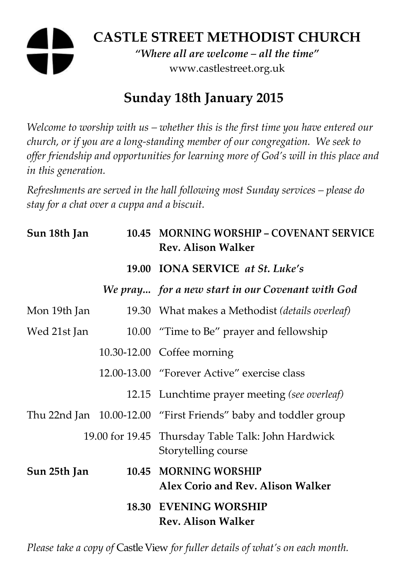# **CASTLE STREET METHODIST CHURCH**  *"Where all are welcome – all the time"*  www.castlestreet.org.uk

# **Sunday 18th January 2015**

*Welcome to worship with us – whether this is the first time you have entered our church, or if you are a long-standing member of our congregation. We seek to offer friendship and opportunities for learning more of God's will in this place and in this generation.* 

*Refreshments are served in the hall following most Sunday services – please do stay for a chat over a cuppa and a biscuit.* 

| Sun 18th Jan | 10.45 MORNING WORSHIP - COVENANT SERVICE<br><b>Rev. Alison Walker</b>     |
|--------------|---------------------------------------------------------------------------|
|              | 19.00 IONA SERVICE at St. Luke's                                          |
|              | We pray for a new start in our Covenant with God                          |
| Mon 19th Jan | 19.30 What makes a Methodist (details overleaf)                           |
| Wed 21st Jan | 10.00 "Time to Be" prayer and fellowship                                  |
|              | 10.30-12.00 Coffee morning                                                |
|              | 12.00-13.00 "Forever Active" exercise class                               |
|              | 12.15 Lunchtime prayer meeting (see overleaf)                             |
|              | Thu 22nd Jan 10.00-12.00 "First Friends" baby and toddler group           |
|              | 19.00 for 19.45 Thursday Table Talk: John Hardwick<br>Storytelling course |
| Sun 25th Jan | 10.45 MORNING WORSHIP<br>Alex Corio and Rev. Alison Walker                |
|              | <b>18.30 EVENING WORSHIP</b><br><b>Rev. Alison Walker</b>                 |

*Please take a copy of* Castle View *for fuller details of what's on each month.*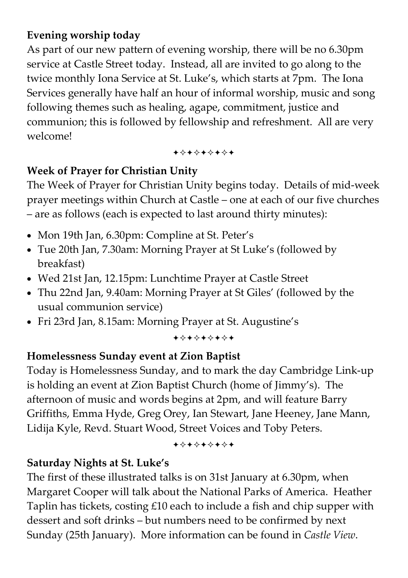# **Evening worship today**

As part of our new pattern of evening worship, there will be no 6.30pm service at Castle Street today. Instead, all are invited to go along to the twice monthly Iona Service at St. Luke's, which starts at 7pm. The Iona Services generally have half an hour of informal worship, music and song following themes such as healing, agape, commitment, justice and communion; this is followed by fellowship and refreshment. All are very welcome!

+\*\*\*\*\*\*\*

# **Week of Prayer for Christian Unity**

The Week of Prayer for Christian Unity begins today. Details of mid-week prayer meetings within Church at Castle – one at each of our five churches – are as follows (each is expected to last around thirty minutes):

- Mon 19th Jan, 6.30pm: Compline at St. Peter's
- Tue 20th Jan, 7.30am: Morning Prayer at St Luke's (followed by breakfast)
- Wed 21st Jan, 12.15pm: Lunchtime Prayer at Castle Street
- Thu 22nd Jan, 9.40am: Morning Prayer at St Giles' (followed by the usual communion service)
- Fri 23rd Jan, 8.15am: Morning Prayer at St. Augustine's

+\*\*\*\*\*\*\*

## **Homelessness Sunday event at Zion Baptist**

Today is Homelessness Sunday, and to mark the day Cambridge Link-up is holding an event at Zion Baptist Church (home of Jimmy's). The afternoon of music and words begins at 2pm, and will feature Barry Griffiths, Emma Hyde, Greg Orey, Ian Stewart, Jane Heeney, Jane Mann, Lidija Kyle, Revd. Stuart Wood, Street Voices and Toby Peters.

+\*\*\*\*\*\*\*

## **Saturday Nights at St. Luke's**

The first of these illustrated talks is on 31st January at 6.30pm, when Margaret Cooper will talk about the National Parks of America. Heather Taplin has tickets, costing £10 each to include a fish and chip supper with dessert and soft drinks – but numbers need to be confirmed by next Sunday (25th January). More information can be found in *Castle View*.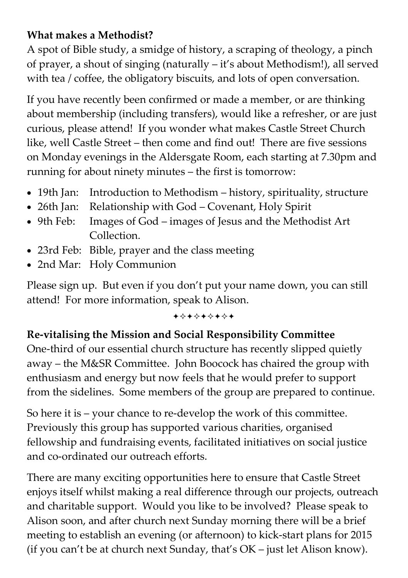# **What makes a Methodist?**

A spot of Bible study, a smidge of history, a scraping of theology, a pinch of prayer, a shout of singing (naturally – it's about Methodism!), all served with tea / coffee, the obligatory biscuits, and lots of open conversation.

If you have recently been confirmed or made a member, or are thinking about membership (including transfers), would like a refresher, or are just curious, please attend! If you wonder what makes Castle Street Church like, well Castle Street – then come and find out! There are five sessions on Monday evenings in the Aldersgate Room, each starting at 7.30pm and running for about ninety minutes – the first is tomorrow:

- 19th Jan: Introduction to Methodism history, spirituality, structure
- 26th Jan: Relationship with God Covenant, Holy Spirit
- 9th Feb: Images of God images of Jesus and the Methodist Art Collection.
- 23rd Feb: Bible, prayer and the class meeting
- 2nd Mar: Holy Communion

Please sign up. But even if you don't put your name down, you can still attend! For more information, speak to Alison.

#### +\*+\*\*\*\*\*

# **Re-vitalising the Mission and Social Responsibility Committee**

One-third of our essential church structure has recently slipped quietly away – the M&SR Committee. John Boocock has chaired the group with enthusiasm and energy but now feels that he would prefer to support from the sidelines. Some members of the group are prepared to continue.

So here it is – your chance to re-develop the work of this committee. Previously this group has supported various charities, organised fellowship and fundraising events, facilitated initiatives on social justice and co-ordinated our outreach efforts.

There are many exciting opportunities here to ensure that Castle Street enjoys itself whilst making a real difference through our projects, outreach and charitable support. Would you like to be involved? Please speak to Alison soon, and after church next Sunday morning there will be a brief meeting to establish an evening (or afternoon) to kick-start plans for 2015 (if you can't be at church next Sunday, that's OK – just let Alison know).